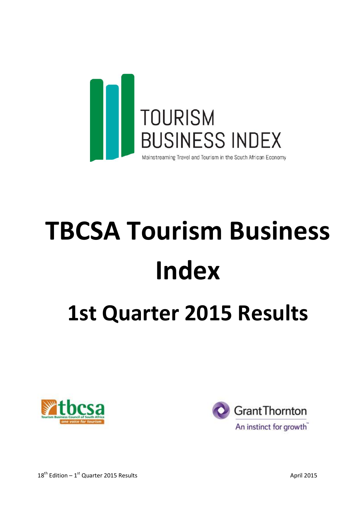

# TBCSA Tourism Business Index 1st Quarter 2015 Results





 $18<sup>th</sup> Edition - 1<sup>st</sup>$  Quarter 2015 Results April 2015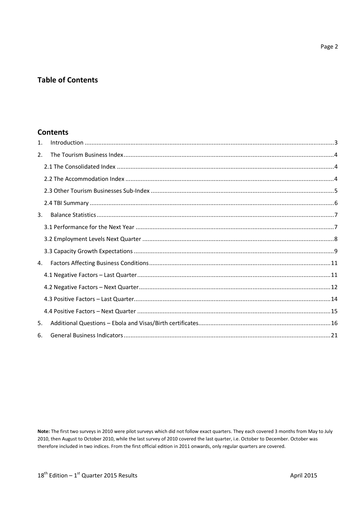# **Table of Contents**

# **Contents**

| $\mathbf{1}$ . |  |
|----------------|--|
| 2.             |  |
|                |  |
|                |  |
|                |  |
|                |  |
| 3.             |  |
|                |  |
|                |  |
|                |  |
| 4.             |  |
|                |  |
|                |  |
|                |  |
|                |  |
| 5.             |  |
| 6.             |  |

Note: The first two surveys in 2010 were pilot surveys which did not follow exact quarters. They each covered 3 months from May to July 2010, then August to October 2010, while the last survey of 2010 covered the last quarter, i.e. October to December. October was therefore included in two indices. From the first official edition in 2011 onwards, only regular quarters are covered.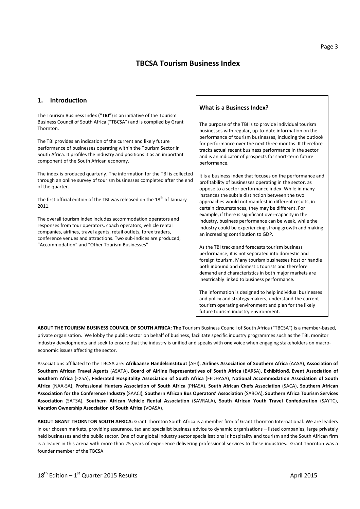# TBCSA Tourism Business Index

#### 1. Introduction

The Tourism Business Index ("TBI") is an initiative of the Tourism Business Council of South Africa ("TBCSA") and is compiled by Grant Thornton.

The TBI provides an indication of the current and likely future performance of businesses operating within the Tourism Sector in South Africa. It profiles the industry and positions it as an important component of the South African economy.

The index is produced quarterly. The information for the TBI is collected through an online survey of tourism businesses completed after the end of the quarter.

The first official edition of the TBI was released on the  $18^{th}$  of January 2011.

The overall tourism index includes accommodation operators and responses from tour operators, coach operators, vehicle rental companies, airlines, travel agents, retail outlets, forex traders, conference venues and attractions. Two sub-indices are produced; "Accommodation" and "Other Tourism Businesses"

#### What is a Business Index?

The purpose of the TBI is to provide individual tourism businesses with regular, up-to-date information on the performance of tourism businesses, including the outlook for performance over the next three months. It therefore tracks actual recent business performance in the sector and is an indicator of prospects for short-term future performance.

It is a business index that focuses on the performance and profitability of businesses operating in the sector, as oppose to a sector performance index. While in many instances the subtle distinction between the two approaches would not manifest in different results, in certain circumstances, they may be different. For example, if there is significant over-capacity in the industry, business performance can be weak, while the industry could be experiencing strong growth and making an increasing contribution to GDP.

As the TBI tracks and forecasts tourism business performance, it is not separated into domestic and foreign tourism. Many tourism businesses host or handle both inbound and domestic tourists and therefore demand and characteristics in both major markets are inextricably linked to business performance.

The information is designed to help individual businesses and policy and strategy makers, understand the current tourism operating environment and plan for the likely future tourism industry environment.

ABOUT THE TOURISM BUSINESS COUNCIL OF SOUTH AFRICA: The Tourism Business Council of South Africa ("TBCSA") is a member-based, private organisation. We lobby the public sector on behalf of business, facilitate specific industry programmes such as the TBI, monitor industry developments and seek to ensure that the industry is unified and speaks with one voice when engaging stakeholders on macroeconomic issues affecting the sector.

Associations affiliated to the TBCSA are: Afrikaanse Handelsinstituut (AHI), Airlines Association of Southern Africa (AASA), Association of Southern African Travel Agents (ASATA), Board of Airline Representatives of South Africa (BARSA), Exhibition& Event Association of Southern Africa (EXSA), Federated Hospitality Association of South Africa (FEDHASA), National Accommodation Association of South Africa (NAA-SA), Professional Hunters Association of South Africa (PHASA), South African Chefs Association (SACA), Southern African Association for the Conference Industry (SAACI), Southern African Bus Operators' Association (SABOA), Southern Africa Tourism Services Association (SATSA), Southern African Vehicle Rental Association (SAVRALA), South African Youth Travel Confederation (SAYTC), Vacation Ownership Association of South Africa (VOASA),

ABOUT GRANT THORNTON SOUTH AFRICA: Grant Thornton South Africa is a member firm of Grant Thornton International. We are leaders in our chosen markets, providing assurance, tax and specialist business advice to dynamic organisations – listed companies, large privately held businesses and the public sector. One of our global industry sector specialisations is hospitality and tourism and the South African firm is a leader in this arena with more than 25 years of experience delivering professional services to these industries. Grant Thornton was a founder member of the TBCSA.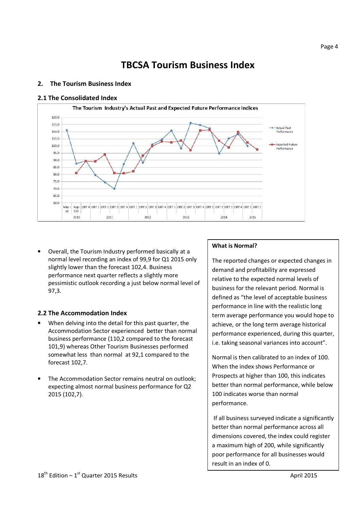# TBCSA Tourism Business Index

# 2. The Tourism Business Index

#### 2.1 The Consolidated Index



• Overall, the Tourism Industry performed basically at a normal level recording an index of 99,9 for Q1 2015 only slightly lower than the forecast 102,4. Business performance next quarter reflects a slightly more pessimistic outlook recording a just below normal level of 97,3.

# 2.2 The Accommodation Index

- When delving into the detail for this past quarter, the Accommodation Sector experienced better than normal business performance (110,2 compared to the forecast 101,9) whereas Other Tourism Businesses performed somewhat less than normal at 92,1 compared to the forecast 102,7.
- The Accommodation Sector remains neutral on outlook; expecting almost normal business performance for Q2 2015 (102,7).

# What is Normal?

The reported changes or expected changes in demand and profitability are expressed relative to the expected normal levels of business for the relevant period. Normal is defined as "the level of acceptable business performance in line with the realistic long term average performance you would hope to achieve, or the long term average historical performance experienced, during this quarter, i.e. taking seasonal variances into account".

Normal is then calibrated to an index of 100. When the index shows Performance or Prospects at higher than 100, this indicates better than normal performance, while below 100 indicates worse than normal performance.

 If all business surveyed indicate a significantly better than normal performance across all dimensions covered, the index could register a maximum high of 200, while significantly poor performance for all businesses would result in an index of 0.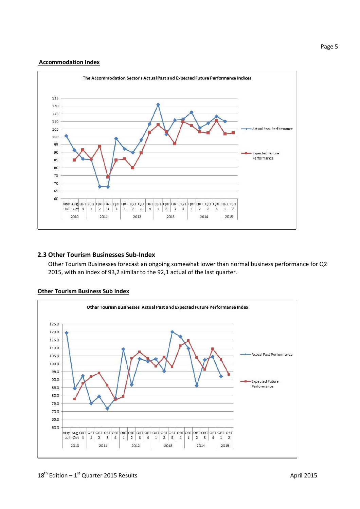#### Accommodation Index



# 2.3 Other Tourism Businesses Sub-Index

Other Tourism Businesses forecast an ongoing somewhat lower than normal business performance for Q2 2015, with an index of 93,2 similar to the 92,1 actual of the last quarter.



# Other Tourism Business Sub Index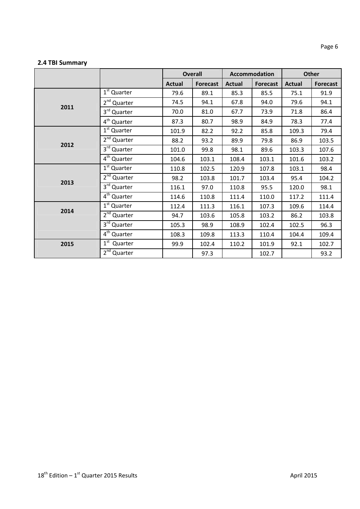# 2.4 TBI Summary

|      |                         | <b>Overall</b> |                 | Accommodation |                 | Other         |                 |
|------|-------------------------|----------------|-----------------|---------------|-----------------|---------------|-----------------|
|      |                         | <b>Actual</b>  | <b>Forecast</b> | <b>Actual</b> | <b>Forecast</b> | <b>Actual</b> | <b>Forecast</b> |
|      | 1 <sup>st</sup> Quarter | 79.6           | 89.1            | 85.3          | 85.5            | 75.1          | 91.9            |
| 2011 | 2 <sup>nd</sup> Quarter | 74.5           | 94.1            | 67.8          | 94.0            | 79.6          | 94.1            |
|      | 3rd Quarter             | 70.0           | 81.0            | 67.7          | 73.9            | 71.8          | 86.4            |
|      | 4 <sup>th</sup> Quarter | 87.3           | 80.7            | 98.9          | 84.9            | 78.3          | 77.4            |
|      | 1 <sup>st</sup> Quarter | 101.9          | 82.2            | 92.2          | 85.8            | 109.3         | 79.4            |
| 2012 | 2 <sup>nd</sup> Quarter | 88.2           | 93.2            | 89.9          | 79.8            | 86.9          | 103.5           |
|      | 3rd Quarter             | 101.0          | 99.8            | 98.1          | 89.6            | 103.3         | 107.6           |
|      | 4 <sup>th</sup> Quarter | 104.6          | 103.1           | 108.4         | 103.1           | 101.6         | 103.2           |
|      | 1 <sup>st</sup> Quarter | 110.8          | 102.5           | 120.9         | 107.8           | 103.1         | 98.4            |
| 2013 | 2 <sup>nd</sup> Quarter | 98.2           | 103.8           | 101.7         | 103.4           | 95.4          | 104.2           |
|      | 3rd Quarter             | 116.1          | 97.0            | 110.8         | 95.5            | 120.0         | 98.1            |
|      | $4th$ Quarter           | 114.6          | 110.8           | 111.4         | 110.0           | 117.2         | 111.4           |
| 2014 | 1 <sup>st</sup> Quarter | 112.4          | 111.3           | 116.1         | 107.3           | 109.6         | 114.4           |
|      | 2 <sup>nd</sup> Quarter | 94.7           | 103.6           | 105.8         | 103.2           | 86.2          | 103.8           |
|      | 3rd Quarter             | 105.3          | 98.9            | 108.9         | 102.4           | 102.5         | 96.3            |
|      | 4 <sup>th</sup> Quarter | 108.3          | 109.8           | 113.3         | 110.4           | 104.4         | 109.4           |
| 2015 | $1st$ Quarter           | 99.9           | 102.4           | 110.2         | 101.9           | 92.1          | 102.7           |
|      | 2 <sup>nd</sup> Quarter |                | 97.3            |               | 102.7           |               | 93.2            |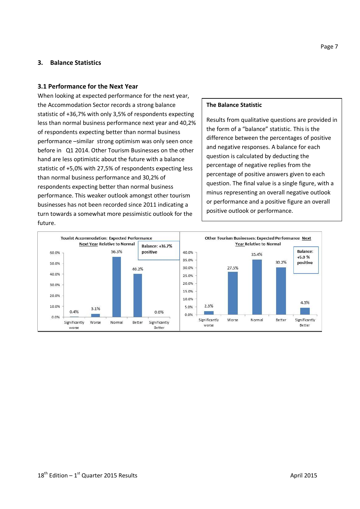## 3. Balance Statistics

#### 3.1 Performance for the Next Year

When looking at expected performance for the next year, the Accommodation Sector records a strong balance statistic of +36,7% with only 3,5% of respondents expecting less than normal business performance next year and 40,2% of respondents expecting better than normal business performance –similar strong optimism was only seen once before in Q1 2014. Other Tourism Businesses on the other hand are less optimistic about the future with a balance statistic of +5,0% with 27,5% of respondents expecting less than normal business performance and 30,2% of respondents expecting better than normal business performance. This weaker outlook amongst other tourism businesses has not been recorded since 2011 indicating a turn towards a somewhat more pessimistic outlook for the future.

#### The Balance Statistic

Results from qualitative questions are provided in the form of a "balance" statistic. This is the difference between the percentages of positive and negative responses. A balance for each question is calculated by deducting the percentage of negative replies from the percentage of positive answers given to each question. The final value is a single figure, with a minus representing an overall negative outlook or performance and a positive figure an overall positive outlook or performance.

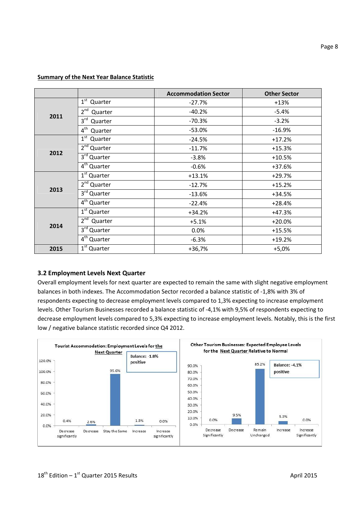|      |                            | <b>Accommodation Sector</b> | <b>Other Sector</b> |
|------|----------------------------|-----------------------------|---------------------|
|      | $1st$ Quarter              | $-27.7%$                    | $+13%$              |
|      | 2 <sup>nd</sup><br>Quarter | $-40.2%$                    | $-5.4%$             |
| 2011 | $3^{\text{rd}}$<br>Quarter | $-70.3%$                    | $-3.2%$             |
|      | $4^{\text{th}}$<br>Quarter | $-53.0%$                    | $-16.9%$            |
|      | 1 <sup>st</sup><br>Quarter | $-24.5%$                    | $+17.2%$            |
|      | 2 <sup>nd</sup> Quarter    | $-11.7%$                    | $+15.3%$            |
| 2012 | 3 <sup>rd</sup> Quarter    | $-3.8%$                     | $+10.5%$            |
|      | $4th$ Quarter              | $-0.6%$                     | $+37.6%$            |
|      | $1st$ Quarter              | $+13.1%$                    | $+29.7%$            |
|      | 2 <sup>nd</sup> Quarter    | $-12.7%$                    | $+15.2%$            |
| 2013 | $3rd$ Quarter              | $-13.6%$                    | +34.5%              |
|      | $4th$ Quarter              | $-22.4%$                    | $+28.4%$            |
|      | 1 <sup>st</sup> Quarter    | +34.2%                      | +47.3%              |
|      | $2nd$ Quarter              | $+5.1%$                     | $+20.0%$            |
| 2014 | 3rd Quarter                | 0.0%                        | $+15.5%$            |
|      | 4 <sup>th</sup> Quarter    | $-6.3%$                     | $+19.2%$            |
| 2015 | $1st$ Quarter              | $+36,7%$                    | $+5,0%$             |

#### Summary of the Next Year Balance Statistic

#### 3.2 Employment Levels Next Quarter

Overall employment levels for next quarter are expected to remain the same with slight negative employment balances in both indexes. The Accommodation Sector recorded a balance statistic of -1,8% with 3% of respondents expecting to decrease employment levels compared to 1,3% expecting to increase employment levels. Other Tourism Businesses recorded a balance statistic of -4,1% with 9,5% of respondents expecting to decrease employment levels compared to 5,3% expecting to increase employment levels. Notably, this is the first low / negative balance statistic recorded since Q4 2012.

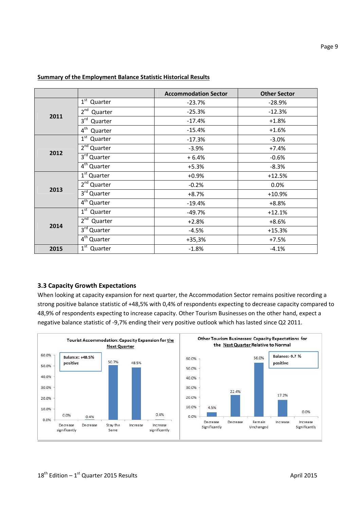|      |                                    | <b>Accommodation Sector</b> | <b>Other Sector</b> |
|------|------------------------------------|-----------------------------|---------------------|
|      | $1^{\rm st}$<br>Quarter            | $-23.7%$                    | $-28.9%$            |
|      | 2 <sup>nd</sup><br>Quarter         | $-25.3%$                    | $-12.3%$            |
| 2011 | $3^{\text{rd}}$<br>Quarter         | $-17.4%$                    | $+1.8%$             |
|      | $4^{\text{th}}$<br>Quarter         | $-15.4%$                    | $+1.6%$             |
|      | $1^{\rm st}$<br>Quarter            | $-17.3%$                    | $-3.0%$             |
|      | 2 <sup>nd</sup> Quarter            | $-3.9%$                     | $+7.4%$             |
| 2012 | 3 <sup>rd</sup> Quarter            | $+6.4%$                     | $-0.6%$             |
|      | $4th$ Quarter                      | $+5.3%$                     | $-8.3%$             |
|      | $1st$ Quarter                      | $+0.9%$                     | $+12.5%$            |
|      | 2 <sup>nd</sup> Quarter            | $-0.2%$                     | 0.0%                |
| 2013 | 3rd Quarter                        | $+8.7%$                     | $+10.9%$            |
|      | $\overline{4}^{\text{th}}$ Quarter | $-19.4%$                    | $+8.8%$             |
|      | $1st$ Quarter                      | $-49.7%$                    | $+12.1%$            |
| 2014 | $2^{nd}$<br>Quarter                | $+2.8%$                     | $+8.6%$             |
|      | 3 <sup>rd</sup> Quarter            | $-4.5%$                     | $+15.3%$            |
|      | 4 <sup>th</sup> Quarter            | $+35,3%$                    | $+7.5%$             |
| 2015 | 1 <sup>st</sup><br>Quarter         | $-1.8%$                     | $-4.1%$             |

# Summary of the Employment Balance Statistic Historical Results

# 3.3 Capacity Growth Expectations

When looking at capacity expansion for next quarter, the Accommodation Sector remains positive recording a strong positive balance statistic of +48,5% with 0,4% of respondents expecting to decrease capacity compared to 48,9% of respondents expecting to increase capacity. Other Tourism Businesses on the other hand, expect a negative balance statistic of -9,7% ending their very positive outlook which has lasted since Q2 2011.

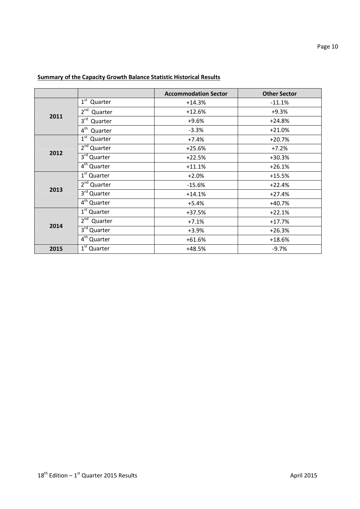|      |                                    | <b>Accommodation Sector</b> | <b>Other Sector</b> |
|------|------------------------------------|-----------------------------|---------------------|
|      | $1^{\rm st}$<br>Quarter            | $+14.3%$                    | $-11.1%$            |
|      | 2 <sup>nd</sup><br>Quarter         | $+12.6%$                    | $+9.3%$             |
| 2011 | 3 <sup>rd</sup><br>Quarter         | $+9.6%$                     | $+24.8%$            |
|      | $4^{\text{th}}$<br>Quarter         | $-3.3%$                     | $+21.0%$            |
|      | 1 <sup>st</sup><br>Quarter         | $+7.4%$                     | $+20.7%$            |
|      | 2 <sup>nd</sup> Quarter            | $+25.6%$                    | $+7.2%$             |
| 2012 | 3 <sup>rd</sup> Quarter            | $+22.5%$                    | $+30.3%$            |
|      | $\overline{4}^{\text{th}}$ Quarter | $+11.1%$                    | $+26.1%$            |
|      | $1st$ Quarter                      | $+2.0%$                     | $+15.5%$            |
| 2013 | 2 <sup>nd</sup> Quarter            | $-15.6%$                    | $+22.4%$            |
|      | $3rd$ Quarter                      | $+14.1%$                    | $+27.4%$            |
|      | $4th$ Quarter                      | $+5.4%$                     | $+40.7%$            |
|      | $1st$ Quarter                      | $+37.5%$                    | $+22.1%$            |
| 2014 | $2^{nd}$<br>Quarter                | $+7.1%$                     | $+17.7%$            |
|      | 3 <sup>rd</sup> Quarter            | $+3.9%$                     | $+26.3%$            |
|      | 4 <sup>th</sup> Quarter            | $+61.6%$                    | $+18.6%$            |
| 2015 | $1st$ Quarter                      | $+48.5%$                    | $-9.7%$             |

# Summary of the Capacity Growth Balance Statistic Historical Results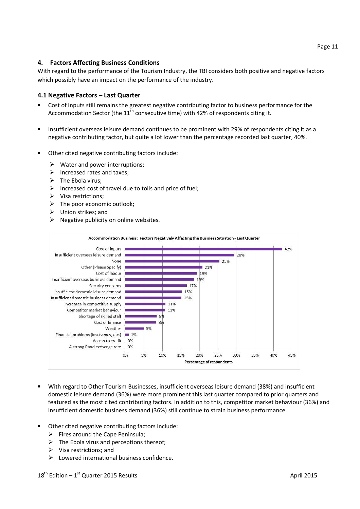# 4. Factors Affecting Business Conditions

With regard to the performance of the Tourism Industry, the TBI considers both positive and negative factors which possibly have an impact on the performance of the industry.

# 4.1 Negative Factors – Last Quarter

- Cost of inputs still remains the greatest negative contributing factor to business performance for the Accommodation Sector (the  $11<sup>th</sup>$  consecutive time) with 42% of respondents citing it.
- Insufficient overseas leisure demand continues to be prominent with 29% of respondents citing it as a negative contributing factor, but quite a lot lower than the percentage recorded last quarter, 40%.
- Other cited negative contributing factors include:
	- $\triangleright$  Water and power interruptions;
	- $\triangleright$  Increased rates and taxes;
	- $\triangleright$  The Ebola virus:
	- $\triangleright$  Increased cost of travel due to tolls and price of fuel;
	- $\triangleright$  Visa restrictions;
	- $\triangleright$  The poor economic outlook;
	- $\triangleright$  Union strikes; and
	- $\triangleright$  Negative publicity on online websites.



- With regard to Other Tourism Businesses, insufficient overseas leisure demand (38%) and insufficient domestic leisure demand (36%) were more prominent this last quarter compared to prior quarters and featured as the most cited contributing factors. In addition to this, competitor market behaviour (36%) and insufficient domestic business demand (36%) still continue to strain business performance.
- Other cited negative contributing factors include:
	- $\triangleright$  Fires around the Cape Peninsula;
	- $\triangleright$  The Ebola virus and perceptions thereof:
	- $\triangleright$  Visa restrictions: and
	- $\triangleright$  Lowered international business confidence.

Page 11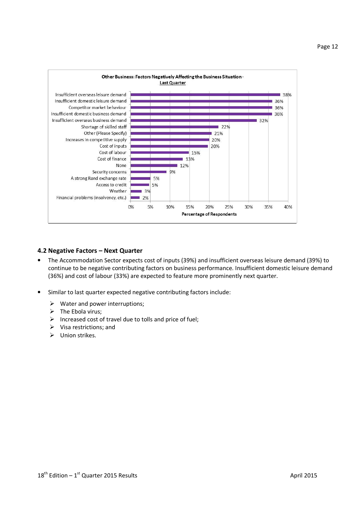

#### 4.2 Negative Factors – Next Quarter

- The Accommodation Sector expects cost of inputs (39%) and insufficient overseas leisure demand (39%) to continue to be negative contributing factors on business performance. Insufficient domestic leisure demand (36%) and cost of labour (33%) are expected to feature more prominently next quarter.
- Similar to last quarter expected negative contributing factors include:
	- $\triangleright$  Water and power interruptions;
	- $\triangleright$  The Ebola virus;
	- $\triangleright$  Increased cost of travel due to tolls and price of fuel;
	- $\triangleright$  Visa restrictions; and
	- $\triangleright$  Union strikes.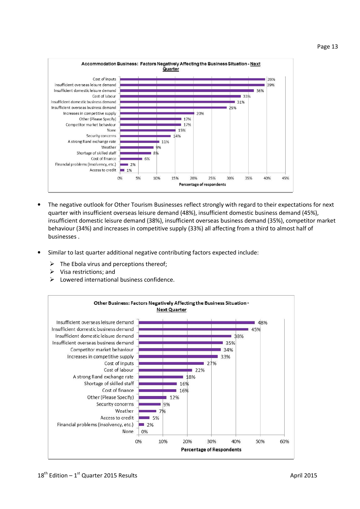



- The negative outlook for Other Tourism Businesses reflect strongly with regard to their expectations for next quarter with insufficient overseas leisure demand (48%), insufficient domestic business demand (45%), insufficient domestic leisure demand (38%), insufficient overseas business demand (35%), competitor market behaviour (34%) and increases in competitive supply (33%) all affecting from a third to almost half of businesses .
- Similar to last quarter additional negative contributing factors expected include:
	- $\triangleright$  The Ebola virus and perceptions thereof;
	- $\triangleright$  Visa restrictions; and
	- Lowered international business confidence.

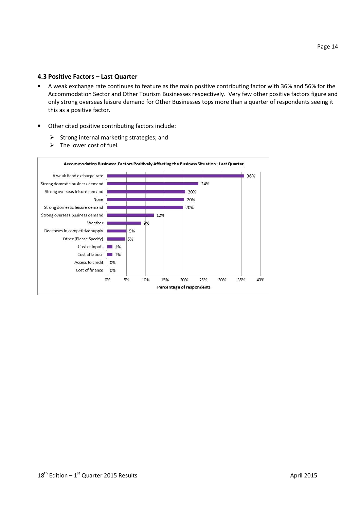#### 4.3 Positive Factors – Last Quarter

- A weak exchange rate continues to feature as the main positive contributing factor with 36% and 56% for the Accommodation Sector and Other Tourism Businesses respectively. Very few other positive factors figure and only strong overseas leisure demand for Other Businesses tops more than a quarter of respondents seeing it this as a positive factor.
- Other cited positive contributing factors include:
	- $\triangleright$  Strong internal marketing strategies; and
	- $\triangleright$  The lower cost of fuel.

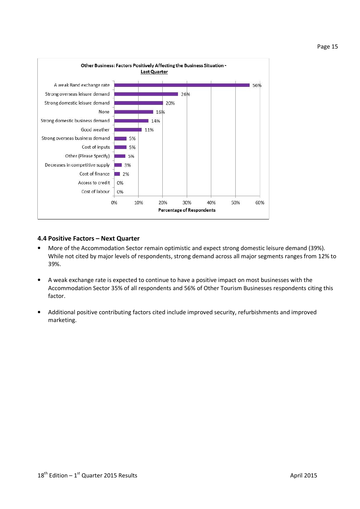

# 4.4 Positive Factors – Next Quarter

- More of the Accommodation Sector remain optimistic and expect strong domestic leisure demand (39%). While not cited by major levels of respondents, strong demand across all major segments ranges from 12% to 39%.
- A weak exchange rate is expected to continue to have a positive impact on most businesses with the Accommodation Sector 35% of all respondents and 56% of Other Tourism Businesses respondents citing this factor.
- Additional positive contributing factors cited include improved security, refurbishments and improved marketing.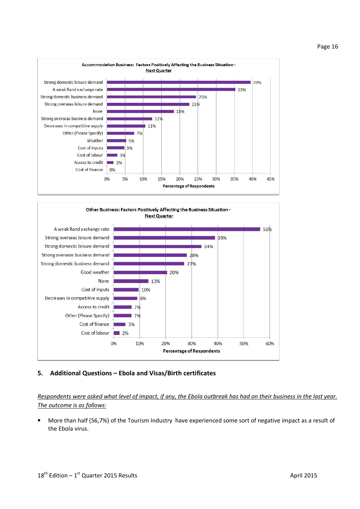



#### 5. Additional Questions – Ebola and Visas/Birth certificates

Respondents were asked what level of impact, if any, the Ebola outbreak has had on their business in the last year. The outcome is as follows:

• More than half (56,7%) of the Tourism Industry have experienced some sort of negative impact as a result of the Ebola virus.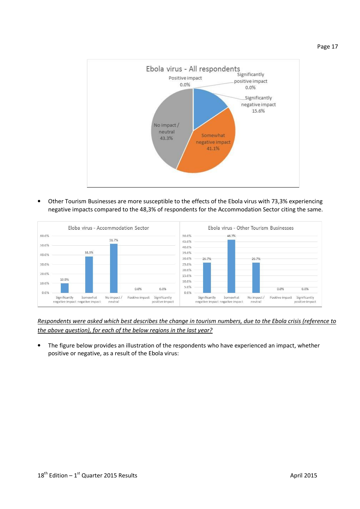Page 17



• Other Tourism Businesses are more susceptible to the effects of the Ebola virus with 73,3% experiencing negative impacts compared to the 48,3% of respondents for the Accommodation Sector citing the same.



Respondents were asked which best describes the change in tourism numbers, due to the Ebola crisis (reference to the above question), for each of the below regions in the last year?

The figure below provides an illustration of the respondents who have experienced an impact, whether positive or negative, as a result of the Ebola virus: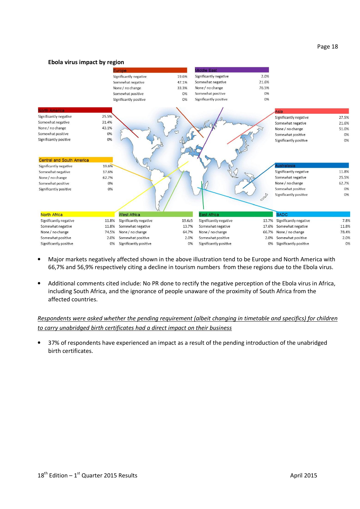#### Page 18

#### Ebola virus impact by region



- Major markets negatively affected shown in the above illustration tend to be Europe and North America with 66,7% and 56,9% respectively citing a decline in tourism numbers from these regions due to the Ebola virus.
- Additional comments cited include: No PR done to rectify the negative perception of the Ebola virus in Africa, including South Africa, and the ignorance of people unaware of the proximity of South Africa from the affected countries.

# Respondents were asked whether the pending requirement (albeit changing in timetable and specifics) for children to carry unabridged birth certificates had a direct impact on their business

• 37% of respondents have experienced an impact as a result of the pending introduction of the unabridged birth certificates.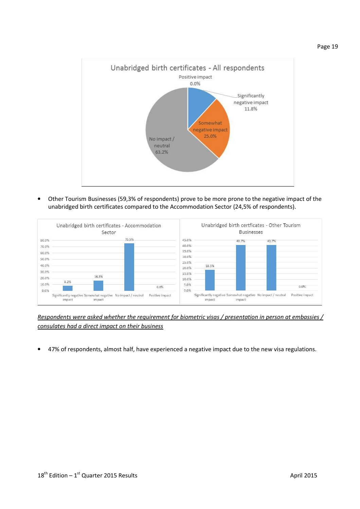

• Other Tourism Businesses (59,3% of respondents) prove to be more prone to the negative impact of the unabridged birth certificates compared to the Accommodation Sector (24,5% of respondents).

|                                                             | Unabridged birth certificates - Accommodation<br>Sector                          |                         |                                                                               | <b>Businesses</b>                                                      | Unabridged birth certficates - Other Tourism |
|-------------------------------------------------------------|----------------------------------------------------------------------------------|-------------------------|-------------------------------------------------------------------------------|------------------------------------------------------------------------|----------------------------------------------|
| 80.0%<br>70.0%<br>60.0%<br>50.0%<br>40.0%<br>30.0%<br>20.0% | 75.5%<br>16.3%<br>8.2%                                                           |                         | 45.0%<br>40.0%<br>35.0%<br>30.0%<br>25.0%<br>18.5%<br>20.0%<br>15.0%<br>10.0% | 40.7%                                                                  | 40.7%                                        |
| 10.0%<br>0.0%                                               | Significantly negative Somewhat negative No impact / neutral<br>impact<br>impact | 0.0%<br>Positive impact | 5.0%<br>$0.0\%$<br>impact                                                     | Significantly negative Somewhat negative No impact / neutral<br>impact | 0.0%<br>Positive impact                      |

Respondents were asked whether the requirement for biometric visas / presentation in person at embassies / consulates had a direct impact on their business

• 47% of respondents, almost half, have experienced a negative impact due to the new visa regulations.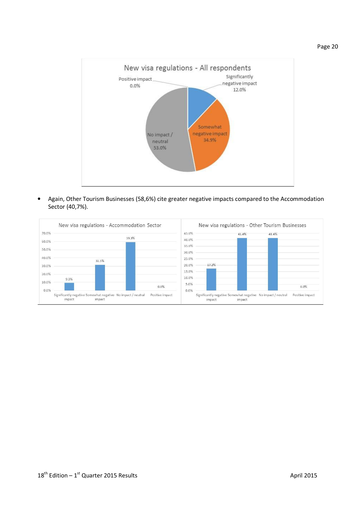

• Again, Other Tourism Businesses (58,6%) cite greater negative impacts compared to the Accommodation Sector (40,7%).

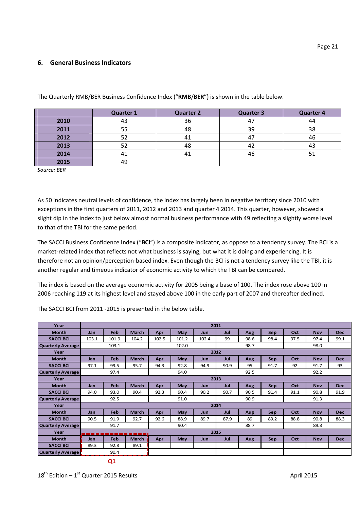## 6. General Business Indicators

|      | <b>Quarter 1</b> | <b>Quarter 2</b> | <b>Quarter 3</b> | <b>Quarter 4</b> |
|------|------------------|------------------|------------------|------------------|
| 2010 |                  | 36               | 47               | 44               |
| 2011 | 55               | 48               | 39               | 38               |
| 2012 | 52               | 41               | 47               | 46               |
| 2013 | 52               | 48               | 44               | 43               |
| 2014 |                  | 41               | 46               |                  |
| 2015 | 49               |                  |                  |                  |

The Quarterly RMB/BER Business Confidence Index ("RMB/BER") is shown in the table below.

Source: BER

As 50 indicates neutral levels of confidence, the index has largely been in negative territory since 2010 with exceptions in the first quarters of 2011, 2012 and 2013 and quarter 4 2014. This quarter, however, showed a slight dip in the index to just below almost normal business performance with 49 reflecting a slightly worse level to that of the TBI for the same period.

The SACCI Business Confidence Index ("BCI") is a composite indicator, as oppose to a tendency survey. The BCI is a market-related index that reflects not what business is saying, but what it is doing and experiencing. It is therefore not an opinion/perception-based index. Even though the BCI is not a tendency survey like the TBI, it is another regular and timeous indicator of economic activity to which the TBI can be compared.

The index is based on the average economic activity for 2005 being a base of 100. The index rose above 100 in 2006 reaching 119 at its highest level and stayed above 100 in the early part of 2007 and thereafter declined.

The SACCI BCI from 2011 -2015 is presented in the below table.

| Year                     | 2011       |                |              |       |       |       |      |      |            |      |            |            |
|--------------------------|------------|----------------|--------------|-------|-------|-------|------|------|------------|------|------------|------------|
| <b>Month</b>             | Jan        | Feb            | <b>March</b> | Apr   | May   | Jun   | Jul  | Aug  | <b>Sep</b> | Oct  | <b>Nov</b> | <b>Dec</b> |
| <b>SACCI BCI</b>         | 103.1      | 101.9          | 104.2        | 102.5 | 101.2 | 102.4 | 99   | 98.6 | 98.4       | 97.5 | 97.4       | 99.1       |
| <b>Quarterly Average</b> |            | 103.1          |              |       | 102.0 |       |      | 98.7 |            |      | 98.0       |            |
| Year                     |            |                |              |       |       |       | 2012 |      |            |      |            |            |
| <b>Month</b>             | Jan        | Feb            | <b>March</b> | Apr   | May   | Jun   | Jul  | Aug  | <b>Sep</b> | Oct  | <b>Nov</b> | <b>Dec</b> |
| <b>SACCI BCI</b>         | 97.1       | 99.5           | 95.7         | 94.3  | 92.8  | 94.9  | 90.9 | 95   | 91.7       | 92   | 91.7       | 93         |
| <b>Quarterly Average</b> |            | 97.4           |              |       | 94.0  |       |      | 92.5 |            |      | 92.2       |            |
| Year                     | 2013       |                |              |       |       |       |      |      |            |      |            |            |
| <b>Month</b>             | <b>Jan</b> | Feb            | <b>March</b> | Apr   | May   | Jun   | Jul  | Aug  | Sep        | Oct  | <b>Nov</b> | <b>Dec</b> |
| <b>SACCI BCI</b>         | 94.0       | 93.0           | 90.4         | 92.3  | 90.4  | 90.2  | 90.7 | 90.5 | 91.4       | 91.1 | 90.8       | 91.9       |
| <b>Quarterly Average</b> |            | 92.5           |              |       | 91.0  |       |      | 90.9 |            |      | 91.3       |            |
| Year                     |            |                |              | 2014  |       |       |      |      |            |      |            |            |
| <b>Month</b>             | Jan        | Feb            | <b>March</b> | Apr   | May   | Jun   | Jul  | Aug  | Sep        | Oct  | <b>Nov</b> | <b>Dec</b> |
| <b>SACCI BCI</b>         | 90.5       | 91.9           | 92.7         | 92.6  | 88.9  | 89.7  | 87.9 | 89   | 89.2       | 88.8 | 90.8       | 88.3       |
| <b>Quarterly Average</b> |            | 91.7           |              |       | 90.4  |       |      | 88.7 |            |      | 89.3       |            |
| Year                     |            | -------------- |              | 2015  |       |       |      |      |            |      |            |            |
| <b>Month</b>             | Jan        | Feb            | <b>March</b> | Apr   | May   | Jun   | Jul  | Aug  | Sep        | Oct  | <b>Nov</b> | <b>Dec</b> |
| <b>SACCI BCI</b>         | 89.3       | 92.8           | 89.1         |       |       |       |      |      |            |      |            |            |
| Quarterly Average        |            | 90.4           |              |       |       |       |      |      |            |      |            |            |